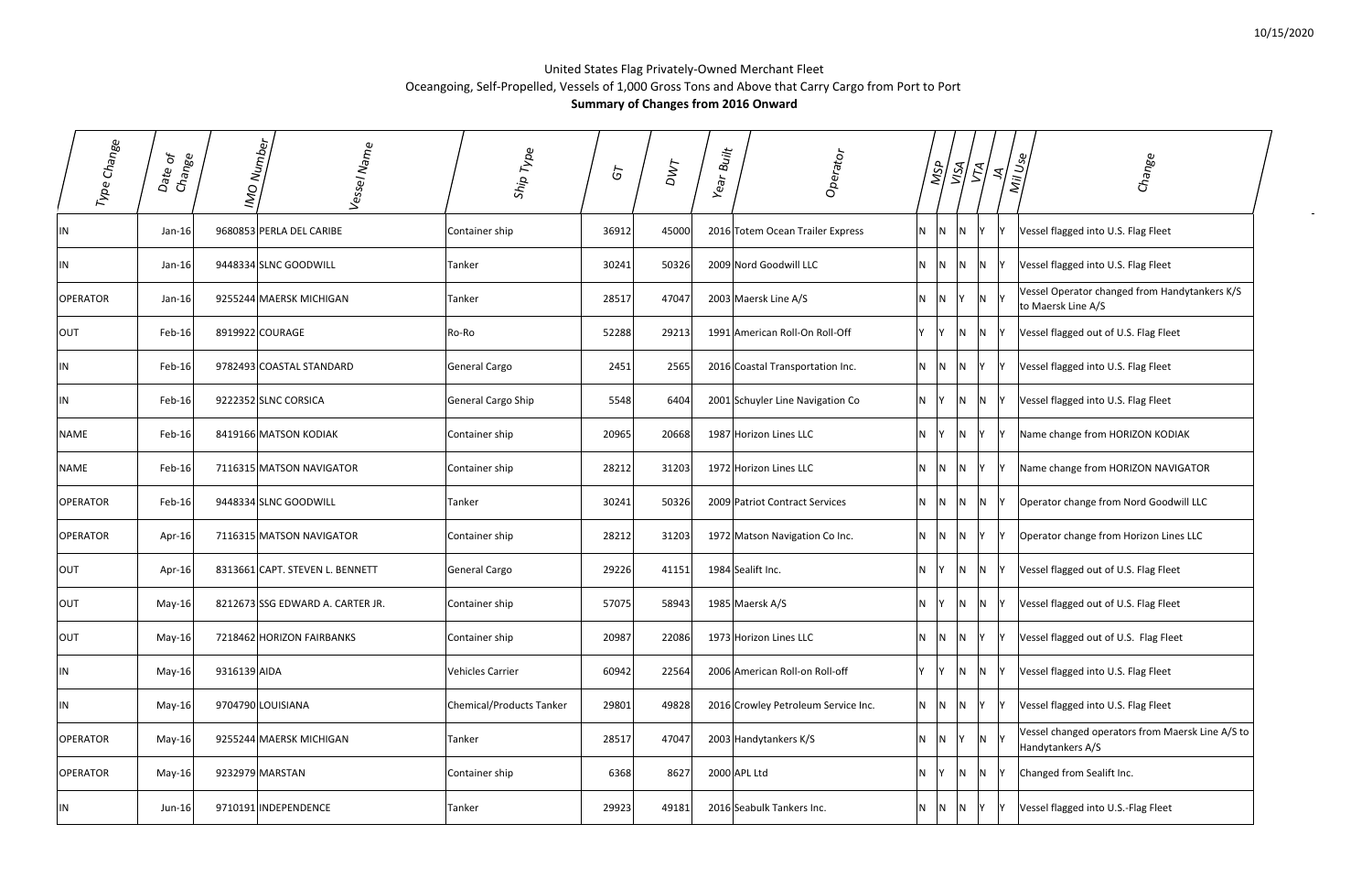$\sim$ 

## United States Flag Privately‐Owned Merchant Fleet Oceangoing, Self‐Propelled, Vessels of 1,000 Gross Tons and Above that Carry Cargo from Port to Port **Summary of Changes from 2016 Onward**

| Type Change     | ð,<br>Change<br>Date | Numb <sub>er</sub><br>Vessel Name<br>ON | Ship Type                       | $\delta$ | DWT   | Built<br>Year | Operator                            |                | ASP<br>।<br>इ | $\mathcal{E}_i$              | ₹,             | Mil Use | Change                                                               |
|-----------------|----------------------|-----------------------------------------|---------------------------------|----------|-------|---------------|-------------------------------------|----------------|---------------|------------------------------|----------------|---------|----------------------------------------------------------------------|
| IN              | $Jan-16$             | 9680853 PERLA DEL CARIBE                | Container ship                  | 36912    | 45000 |               | 2016 Totem Ocean Trailer Express    | N.             | N             | N                            |                |         | Vessel flagged into U.S. Flag Fleet                                  |
| IN              | Jan-16               | 9448334 SLNC GOODWILL                   | Tanker                          | 30241    | 50326 |               | 2009 Nord Goodwill LLC              | N              | N             |                              | N              |         | Vessel flagged into U.S. Flag Fleet                                  |
| <b>OPERATOR</b> | $Jan-16$             | 9255244 MAERSK MICHIGAN                 | Tanker                          | 28517    | 47047 |               | 2003 Maersk Line A/S                | N              |               |                              | N              |         | Vessel Operator changed from Handytankers K/S<br>to Maersk Line A/S  |
| OUT             | Feb-16               | 8919922 COURAGE                         | Ro-Ro                           | 52288    | 29213 |               | 1991 American Roll-On Roll-Off      | Y              |               |                              | N              |         | Vessel flagged out of U.S. Flag Fleet                                |
| IN              | Feb-16               | 9782493 COASTAL STANDARD                | General Cargo                   | 2451     | 2565  |               | 2016 Coastal Transportation Inc.    | N <sub>1</sub> | N.            | N.<br>Y                      |                |         | Vessel flagged into U.S. Flag Fleet                                  |
| IN              | Feb-16               | 9222352 SLNC CORSICA                    | General Cargo Ship              | 5548     | 6404  |               | 2001 Schuyler Line Navigation Co    | N <sub>1</sub> | Y             | IN.                          | N              |         | Vessel flagged into U.S. Flag Fleet                                  |
| <b>NAME</b>     | Feb-16               | 8419166 MATSON KODIAK                   | Container ship                  | 20965    | 20668 |               | 1987 Horizon Lines LLC              | N <sub>1</sub> | IY.           | IN.                          |                |         | Name change from HORIZON KODIAK                                      |
| <b>NAME</b>     | Feb-16               | 7116315 MATSON NAVIGATOR                | Container ship                  | 28212    | 31203 |               | 1972 Horizon Lines LLC              | N.             | IN.           | Y<br>IN.                     |                |         | Name change from HORIZON NAVIGATOR                                   |
| <b>OPERATOR</b> | Feb-16               | 9448334 SLNC GOODWILL                   | Tanker                          | 30241    | 50326 |               | 2009 Patriot Contract Services      | N.             | IN.           | N.                           | N <sub>1</sub> |         | Operator change from Nord Goodwill LLC                               |
| <b>OPERATOR</b> | Apr-16               | 7116315 MATSON NAVIGATOR                | Container ship                  | 28212    | 31203 |               | 1972 Matson Navigation Co Inc.      | N.             | <b>N</b>      | $\mathsf{N}$<br>lY.          |                |         | Operator change from Horizon Lines LLC                               |
| OUT             | Apr-16               | 8313661 CAPT. STEVEN L. BENNETT         | General Cargo                   | 29226    | 41151 |               | 1984 Sealift Inc.                   | N.             | Y             | N.<br>N.                     |                |         | Vessel flagged out of U.S. Flag Fleet                                |
| OUT             | May-16               | 8212673 SSG EDWARD A. CARTER JR.        | Container ship                  | 57075    | 58943 |               | 1985 Maersk A/S                     | N.             | Y             | $N$ $N$ $Y$                  |                |         | Vessel flagged out of U.S. Flag Fleet                                |
| OUT             | May-16               | 7218462 HORIZON FAIRBANKS               | Container ship                  | 20987    | 22086 |               | 1973 Horizon Lines LLC              | N              |               | $N$ $N$ $Y$                  |                |         | Vessel flagged out of U.S. Flag Fleet                                |
| IN              | May-16               | 9316139 AIDA                            | <b>Vehicles Carrier</b>         | 60942    | 22564 |               | 2006 American Roll-on Roll-off      | IY.            | lY.           | $\overline{\mathsf{N}}$<br>N |                |         | Vessel flagged into U.S. Flag Fleet                                  |
| IN              | May-16               | 9704790 LOUISIANA                       | <b>Chemical/Products Tanker</b> | 29801    | 49828 |               | 2016 Crowley Petroleum Service Inc. | N              | N             | N<br>IY.                     |                |         | Vessel flagged into U.S. Flag Fleet                                  |
| <b>OPERATOR</b> | May-16               | 9255244 MAERSK MICHIGAN                 | Tanker                          | 28517    | 47047 |               | 2003 Handytankers K/S               | N              | N             |                              | N <sub>1</sub> |         | Vessel changed operators from Maersk Line A/S to<br>Handytankers A/S |
| <b>OPERATOR</b> | May-16               | 9232979 MARSTAN                         | Container ship                  | 6368     | 8627  |               | 2000 APL Ltd                        | N              | Y             | $\overline{\mathsf{N}}$      | $N$ $Y$        |         | Changed from Sealift Inc.                                            |
| IN              | Jun-16               | 9710191 INDEPENDENCE                    | Tanker                          | 29923    | 49181 |               | 2016 Seabulk Tankers Inc.           | N              | <b>N</b>      | IN.<br>Y                     |                |         | Vessel flagged into U.S.-Flag Fleet                                  |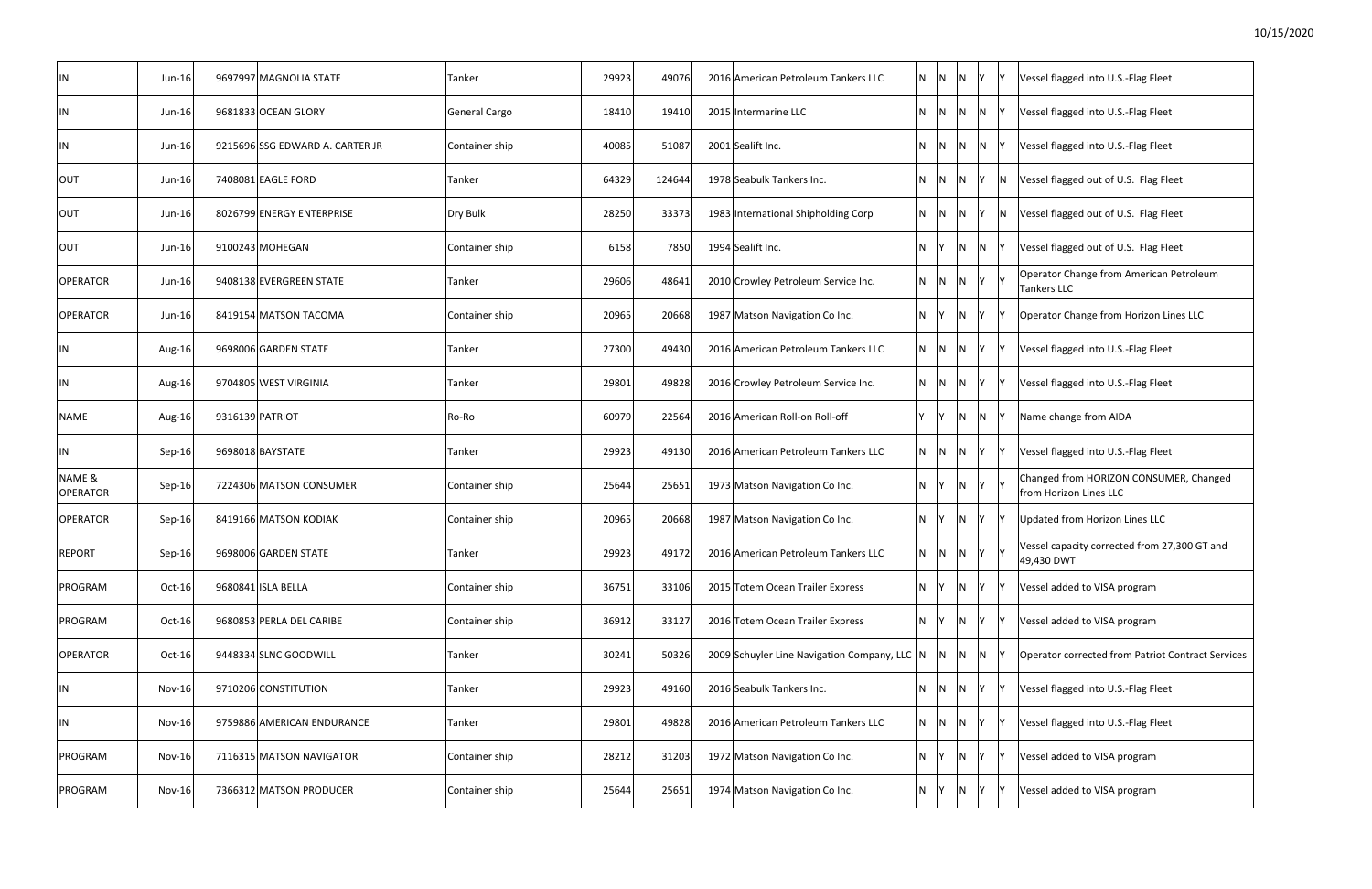| IN                        | Jun-16        | 9697997 MAGNOLIA STATE          | Tanker               | 29923 | 49076  | 2016 American Petroleum Tankers LLC          | N       | $\mathsf{N}$    | N.  | IY. |     | Vessel flagged into U.S.-Flag Fleet                              |
|---------------------------|---------------|---------------------------------|----------------------|-------|--------|----------------------------------------------|---------|-----------------|-----|-----|-----|------------------------------------------------------------------|
| IN                        | $Jun-16$      | 9681833 OCEAN GLORY             | <b>General Cargo</b> | 18410 | 19410  | 2015 Intermarine LLC                         | N IN    |                 | IN. | N   |     | Vessel flagged into U.S.-Flag Fleet                              |
| IN                        | $Jun-16$      | 9215696 SSG EDWARD A. CARTER JR | Container ship       | 40085 | 51087  | 2001 Sealift Inc.                            | N       | IN.             | N.  | N   |     | Vessel flagged into U.S.-Flag Fleet                              |
| OUT                       | $Jun-16$      | 7408081 EAGLE FORD              | Tanker               | 64329 | 124644 | 1978 Seabulk Tankers Inc.                    | N       | IN.             | N   |     | N   | Vessel flagged out of U.S. Flag Fleet                            |
| <b>OUT</b>                | Jun-16        | 8026799 ENERGY ENTERPRISE       | Dry Bulk             | 28250 | 33373  | 1983 International Shipholding Corp          | N       | $\mathsf{N}$    | N.  |     | IN. | Vessel flagged out of U.S. Flag Fleet                            |
| OUT                       | $Jun-16$      | 9100243 MOHEGAN                 | Container ship       | 6158  | 7850   | 1994 Sealift Inc.                            | N       |                 | N   | IN. |     | Vessel flagged out of U.S. Flag Fleet                            |
| <b>OPERATOR</b>           | $Jun-16$      | 9408138 EVERGREEN STATE         | Tanker               | 29606 | 48641  | 2010 Crowley Petroleum Service Inc.          | N       | $\mathsf{N}$    | N   | Y   |     | Operator Change from American Petroleum<br><b>Tankers LLC</b>    |
| <b>OPERATOR</b>           | $Jun-16$      | 8419154 MATSON TACOMA           | Container ship       | 20965 | 20668  | 1987 Matson Navigation Co Inc.               | N       |                 | N   |     |     | Operator Change from Horizon Lines LLC                           |
| IN                        | Aug-16        | 9698006 GARDEN STATE            | Tanker               | 27300 | 49430  | 2016 American Petroleum Tankers LLC          |         | $N$ $N$ $N$ $Y$ |     |     |     | Vessel flagged into U.S.-Flag Fleet                              |
| IN                        | Aug-16        | 9704805 WEST VIRGINIA           | Tanker               | 29801 | 49828  | 2016 Crowley Petroleum Service Inc.          | N N     |                 | IN. | IY. |     | Vessel flagged into U.S.-Flag Fleet                              |
| NAME                      | Aug-16        | 9316139 PATRIOT                 | Ro-Ro                | 60979 | 22564  | 2016 American Roll-on Roll-off               |         | IY.             | N.  | IN. |     | Name change from AIDA                                            |
| IN                        | Sep-16        | 9698018 BAYSTATE                | Tanker               | 29923 | 49130  | 2016 American Petroleum Tankers LLC          | N IN    |                 | IN. | IY. |     | Vessel flagged into U.S.-Flag Fleet                              |
| NAME &<br><b>OPERATOR</b> | Sep-16        | 7224306 MATSON CONSUMER         | Container ship       | 25644 | 25651  | 1973 Matson Navigation Co Inc.               | N       |                 | N   | Y.  |     | Changed from HORIZON CONSUMER, Changed<br>from Horizon Lines LLC |
| <b>OPERATOR</b>           | Sep-16        | 8419166 MATSON KODIAK           | Container ship       | 20965 | 20668  | 1987 Matson Navigation Co Inc.               | N       |                 | N   |     |     | Updated from Horizon Lines LLC                                   |
| <b>REPORT</b>             | Sep-16        | 9698006 GARDEN STATE            | Tanker               | 29923 | 49172  | 2016 American Petroleum Tankers LLC          | N       | IN.             | N   |     |     | Vessel capacity corrected from 27,300 GT and<br>49,430 DWT       |
| PROGRAM                   | Oct-16        | 9680841 ISLA BELLA              | Container ship       | 36751 | 33106  | 2015 Totem Ocean Trailer Express             | N       |                 | N   |     |     | Vessel added to VISA program                                     |
| PROGRAM                   | $Oct-16$      | 9680853 PERLA DEL CARIBE        | Container ship       | 36912 | 33127  | 2016 Totem Ocean Trailer Express             | N       |                 | N   |     |     | Vessel added to VISA program                                     |
| <b>OPERATOR</b>           | $Oct-16$      | 9448334 SLNC GOODWILL           | Tanker               | 30241 | 50326  | 2009 Schuyler Line Navigation Company, LLC N |         | N               | N   | IN. |     | <b>Operator corrected from Patriot Contract Services</b>         |
| IN                        | $Nov-16$      | 9710206 CONSTITUTION            | Tanker               | 29923 | 49160  | 2016 Seabulk Tankers Inc.                    | N       | $\overline{N}$  | N   |     |     | Vessel flagged into U.S.-Flag Fleet                              |
| IN                        | <b>Nov-16</b> | 9759886 AMERICAN ENDURANCE      | Tanker               | 29801 | 49828  | 2016 American Petroleum Tankers LLC          | $N$ $N$ |                 | N   |     |     | Vessel flagged into U.S.-Flag Fleet                              |
| PROGRAM                   | $Nov-16$      | 7116315 MATSON NAVIGATOR        | Container ship       | 28212 | 31203  | 1972 Matson Navigation Co Inc.               | N Y     |                 | N   |     |     | Vessel added to VISA program                                     |
| PROGRAM                   | $Nov-16$      | 7366312 MATSON PRODUCER         | Container ship       | 25644 | 25651  | 1974 Matson Navigation Co Inc.               | N Y     |                 | N   |     |     | Vessel added to VISA program                                     |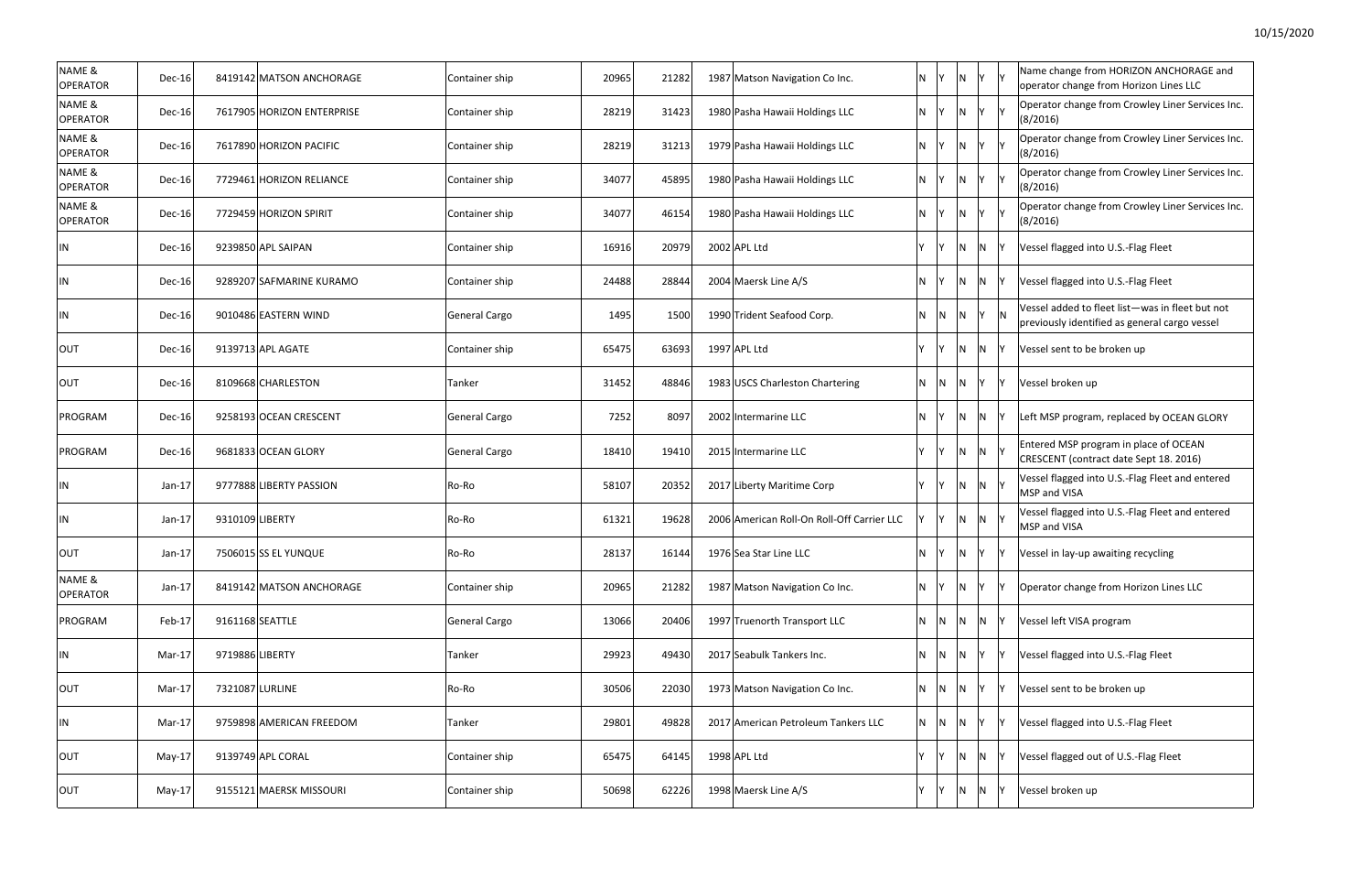| N | Υ | Υ | Name change from HORIZON ANCHORAGE and<br>operator change from Horizon Lines LLC                 |
|---|---|---|--------------------------------------------------------------------------------------------------|
| Ν | Υ | Υ | Operator change from Crowley Liner Services Inc.<br>(8/2016)                                     |
| N | Υ | Υ | Operator change from Crowley Liner Services Inc.<br>(8/2016)                                     |
| N | Υ | Υ | Operator change from Crowley Liner Services Inc.<br>(8/2016)                                     |
| N | Υ | Υ | Operator change from Crowley Liner Services Inc.<br>(8/2016)                                     |
| N | N | Υ | Vessel flagged into U.S.-Flag Fleet                                                              |
| N | N | Υ | Vessel flagged into U.S.-Flag Fleet                                                              |
| N | Υ | N | Vessel added to fleet list-was in fleet but not<br>previously identified as general cargo vessel |
| N | N | Υ | Vessel sent to be broken up                                                                      |
| N | Υ | Υ | Vessel broken up                                                                                 |
| N | N | Υ | Left MSP program, replaced by OCEAN GLORY                                                        |
| N | N | Υ | Entered MSP program in place of OCEAN<br>CRESCENT (contract date Sept 18. 2016)                  |
| N | N | Υ | Vessel flagged into U.S.-Flag Fleet and entered<br>MSP and VISA                                  |
| Ν | N | Y | Vessel flagged into U.S.-Flag Fleet and entered<br>MSP and VISA                                  |
| N | Υ | Υ | Vessel in lay-up awaiting recycling                                                              |
| N | Y | Υ | Operator change from Horizon Lines LLC                                                           |
| N | Ν | Υ | Vessel left VISA program                                                                         |
| N | Y | Υ | Vessel flagged into U.S.-Flag Fleet                                                              |
| N | Υ | Y | Vessel sent to be broken up                                                                      |
| N | Υ | Υ | Vessel flagged into U.S.-Flag Fleet                                                              |
| Ν | Ν | Υ | Vessel flagged out of U.S.-Flag Fleet                                                            |
| N | Ν | Υ | Vessel broken up                                                                                 |
|   |   |   |                                                                                                  |

| NAME &<br><b>OPERATOR</b> | $Dec-16$      | 8419142 MATSON ANCHORAGE   | Container ship | 20965 | 21282 | 1987 Matson Navigation Co Inc.             | $N$ $Y$ |                | $\overline{N}$          |                | IY IY | Name change from HORIZON ANCHORAGE and<br>operator change from Horizon Lines LLC                 |
|---------------------------|---------------|----------------------------|----------------|-------|-------|--------------------------------------------|---------|----------------|-------------------------|----------------|-------|--------------------------------------------------------------------------------------------------|
| NAME &<br><b>OPERATOR</b> | Dec-16        | 7617905 HORIZON ENTERPRISE | Container ship | 28219 | 31423 | 1980 Pasha Hawaii Holdings LLC             | $N$ $Y$ |                | $\overline{N}$          | Y              |       | Operator change from Crowley Liner Services Inc.<br>(8/2016)                                     |
| NAME &<br><b>OPERATOR</b> | Dec-16        | 7617890 HORIZON PACIFIC    | Container ship | 28219 | 31213 | 1979 Pasha Hawaii Holdings LLC             | N Y     |                | $\overline{N}$          |                | Y Y   | Operator change from Crowley Liner Services Inc.<br>(8/2016)                                     |
| NAME &<br>OPERATOR        | <b>Dec-16</b> | 7729461 HORIZON RELIANCE   | Container ship | 34077 | 45895 | 1980 Pasha Hawaii Holdings LLC             | N Y     |                | $\overline{N}$          | Y.             |       | Operator change from Crowley Liner Services Inc.<br>(8/2016)                                     |
| NAME &<br><b>OPERATOR</b> | Dec-16        | 7729459 HORIZON SPIRIT     | Container ship | 34077 | 46154 | 1980 Pasha Hawaii Holdings LLC             | N Y     |                | $\overline{\mathsf{N}}$ |                | Y Y   | Operator change from Crowley Liner Services Inc.<br>(8/2016)                                     |
| IN                        | Dec-16        | 9239850 APL SAIPAN         | Container ship | 16916 | 20979 | 2002 APL Ltd                               | Y       | İΥ.            | $\overline{N}$          | N              |       | Vessel flagged into U.S.-Flag Fleet                                                              |
| IN                        | Dec-16        | 9289207 SAFMARINE KURAMO   | Container ship | 24488 | 28844 | 2004 Maersk Line A/S                       | N.      | IY.            | $\overline{N}$          | N              |       | Vessel flagged into U.S.-Flag Fleet                                                              |
| IN                        | Dec-16        | 9010486 EASTERN WIND       | General Cargo  | 1495  | 1500  | 1990 Trident Seafood Corp.                 | N.      | $\overline{N}$ | $\overline{N}$          | Y              |       | Vessel added to fleet list-was in fleet but not<br>previously identified as general cargo vessel |
| <b>OUT</b>                | <b>Dec-16</b> | 9139713 APL AGATE          | Container ship | 65475 | 63693 | 1997 APL Ltd                               | Y       | $\mathsf{Y}$   | N                       | N              |       | Vessel sent to be broken up                                                                      |
| OUT                       | Dec-16        | 8109668 CHARLESTON         | Tanker         | 31452 | 48846 | 1983 USCS Charleston Chartering            |         | N N            | N                       | Υ              |       | Vessel broken up                                                                                 |
| PROGRAM                   | Dec-16        | 9258193 OCEAN CRESCENT     | General Cargo  | 7252  | 8097  | 2002 Intermarine LLC                       | N.      | - IY           | $\overline{N}$          | N              |       | Left MSP program, replaced by OCEAN GLORY                                                        |
| PROGRAM                   | <b>Dec-16</b> | 9681833 OCEAN GLORY        | General Cargo  | 18410 | 19410 | 2015 Intermarine LLC                       | Y       | $\mathsf{I}$ Y | $\overline{\mathsf{N}}$ | N <sub>Y</sub> |       | Entered MSP program in place of OCEAN<br>CRESCENT (contract date Sept 18. 2016)                  |
| IN                        | $Jan-17$      | 9777888 LIBERTY PASSION    | Ro-Ro          | 58107 | 20352 | 2017 Liberty Maritime Corp                 | Y       | Y              | $\overline{N}$          | N Y            |       | Vessel flagged into U.S.-Flag Fleet and entered<br>MSP and VISA                                  |
| IN                        | $Jan-17$      | 9310109 LIBERTY            | Ro-Ro          | 61321 | 19628 | 2006 American Roll-On Roll-Off Carrier LLC |         | Y              | $\overline{N}$          | N <sub>Y</sub> |       | Vessel flagged into U.S.-Flag Fleet and entered<br>MSP and VISA                                  |
| OUT                       | $Jan-17$      | 7506015 SS EL YUNQUE       | Ro-Ro          | 28137 | 16144 | 1976 Sea Star Line LLC                     | N       | İΥ.            | $\overline{N}$          | Y              |       | Vessel in lay-up awaiting recycling                                                              |
| NAME &<br><b>OPERATOR</b> | $Jan-17$      | 8419142 MATSON ANCHORAGE   | Container ship | 20965 | 21282 | 1987 Matson Navigation Co Inc.             | N       |                | IN.                     | Υ              |       | Operator change from Horizon Lines LLC                                                           |
| PROGRAM                   | Feb-17        | 9161168 SEATTLE            | General Cargo  | 13066 | 20406 | 1997 Truenorth Transport LLC               |         | N N            | IN.                     | N              |       | Vessel left VISA program                                                                         |
| IN                        | Mar-17        | 9719886 LIBERTY            | Tanker         | 29923 | 49430 | 2017 Seabulk Tankers Inc.                  | N.      | $\overline{N}$ | $\overline{N}$          | Υ              |       | Vessel flagged into U.S.-Flag Fleet                                                              |
| OUT                       | Mar-17        | 7321087 LURLINE            | Ro-Ro          | 30506 | 22030 | 1973 Matson Navigation Co Inc.             |         | N N            | $\overline{N}$          |                |       | Vessel sent to be broken up                                                                      |
| IN                        | Mar-17        | 9759898 AMERICAN FREEDOM   | Tanker         | 29801 | 49828 | 2017 American Petroleum Tankers LLC        |         | N N            | $\overline{N}$          |                |       | Vessel flagged into U.S.-Flag Fleet                                                              |
| OUT                       | May-17        | 9139749 APL CORAL          | Container ship | 65475 | 64145 | 1998 APL Ltd                               | Y       |                | $\overline{N}$          | N              |       | Vessel flagged out of U.S.-Flag Fleet                                                            |
| OUT                       | May-17        | 9155121 MAERSK MISSOURI    | Container ship | 50698 | 62226 | 1998 Maersk Line A/S                       | Y       | <b>IY</b>      | N                       | N              |       | Vessel broken up                                                                                 |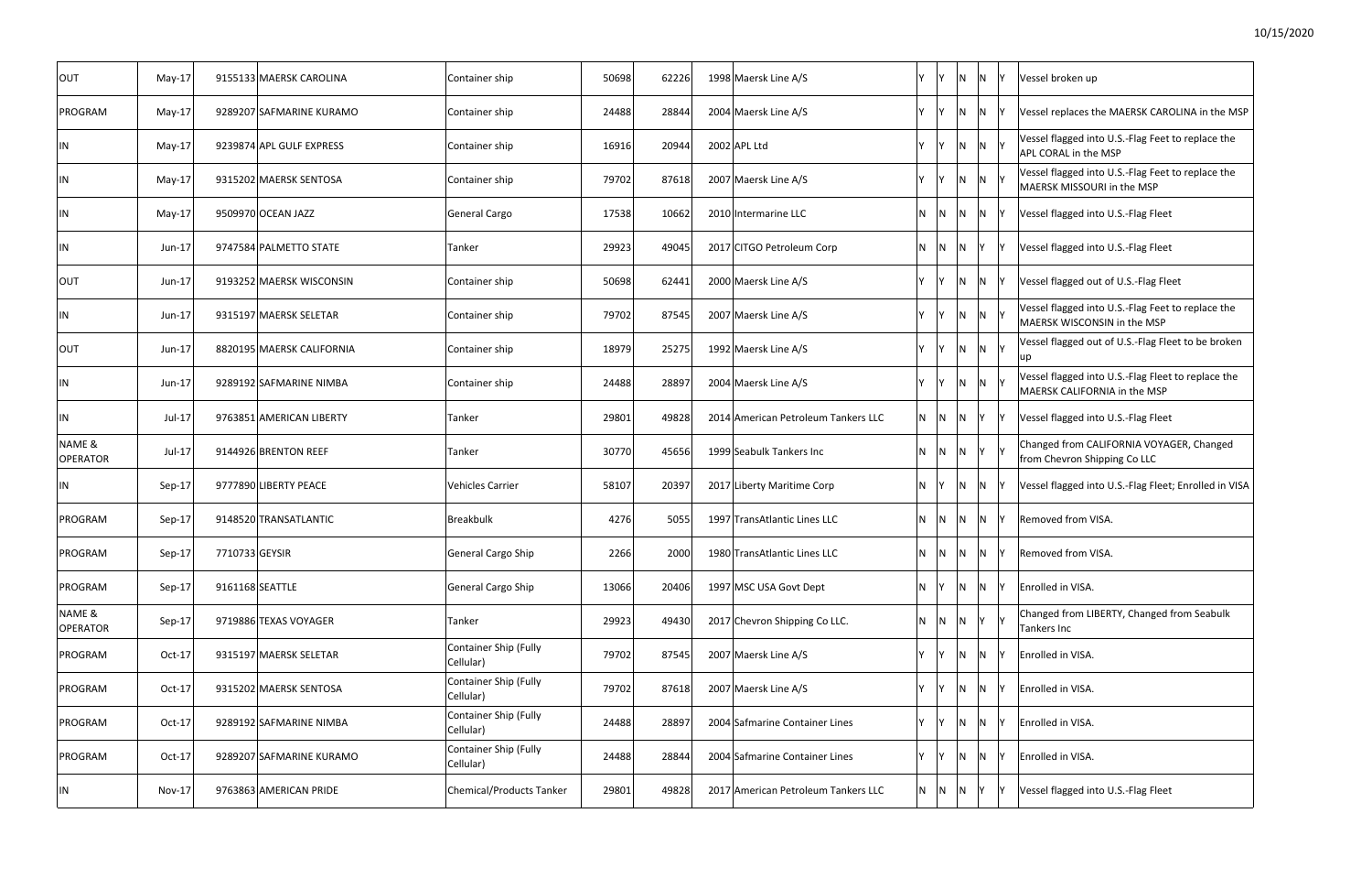| <b>OUT</b>                | $May-17$      |                 | 9155133 MAERSK CAROLINA   | Container ship                            | 50698 | 62226 | 1998 Maersk Line A/S                | Y. | V              | <b>N</b>       | N   | IY. | Vessel broken up                                                                   |
|---------------------------|---------------|-----------------|---------------------------|-------------------------------------------|-------|-------|-------------------------------------|----|----------------|----------------|-----|-----|------------------------------------------------------------------------------------|
| PROGRAM                   | $May-17$      |                 | 9289207 SAFMARINE KURAMO  | Container ship                            | 24488 | 28844 | 2004 Maersk Line A/S                | Y. | Y              | <b>N</b>       | N   |     | Vessel replaces the MAERSK CAROLINA in the MSP                                     |
| IN                        | $May-17$      |                 | 9239874 APL GULF EXPRESS  | Container ship                            | 16916 | 20944 | 2002 APL Ltd                        | Y  | Y              | $N$ $N$ $Y$    |     |     | Vessel flagged into U.S.-Flag Feet to replace the<br>APL CORAL in the MSP          |
| IN                        | $May-17$      |                 | 9315202 MAERSK SENTOSA    | Container ship                            | 79702 | 87618 | 2007 Maersk Line A/S                | Y  | - IY           | $N$ $N$ $Y$    |     |     | Vessel flagged into U.S.-Flag Feet to replace the<br>MAERSK MISSOURI in the MSP    |
| IN                        | $May-17$      |                 | 9509970 OCEAN JAZZ        | General Cargo                             | 17538 | 10662 | 2010 Intermarine LLC                |    | N N N N Y      |                |     |     | Vessel flagged into U.S.-Flag Fleet                                                |
| IN                        | Jun-17        |                 | 9747584 PALMETTO STATE    | Tanker                                    | 29923 | 49045 | 2017 CITGO Petroleum Corp           |    | $N$ $N$        | N <sub>Y</sub> |     |     | Vessel flagged into U.S.-Flag Fleet                                                |
| <b>OUT</b>                | Jun-17        |                 | 9193252 MAERSK WISCONSIN  | Container ship                            | 50698 | 62441 | 2000 Maersk Line A/S                | Y  |                | $N$ $N$        |     |     | Vessel flagged out of U.S.-Flag Fleet                                              |
| IN                        | Jun-17        |                 | 9315197 MAERSK SELETAR    | Container ship                            | 79702 | 87545 | 2007 Maersk Line A/S                | Y. |                | $N$ $N$ $Y$    |     |     | Vessel flagged into U.S.-Flag Feet to replace the<br>MAERSK WISCONSIN in the MSP   |
| <b>OUT</b>                | Jun-17        |                 | 8820195 MAERSK CALIFORNIA | Container ship                            | 18979 | 25275 | 1992 Maersk Line A/S                | Y. |                | N N Y          |     |     | Vessel flagged out of U.S.-Flag Fleet to be broken<br>up                           |
| IN                        | Jun-17        |                 | 9289192 SAFMARINE NIMBA   | Container ship                            | 24488 | 28897 | 2004 Maersk Line A/S                |    |                | $N$ $N$ $Y$    |     |     | Vessel flagged into U.S.-Flag Fleet to replace the<br>MAERSK CALIFORNIA in the MSP |
| IN                        | $Jul-17$      |                 | 9763851 AMERICAN LIBERTY  | Tanker                                    | 29801 | 49828 | 2014 American Petroleum Tankers LLC |    | $N$ $N$ $N$    |                | Y   |     | Vessel flagged into U.S.-Flag Fleet                                                |
| NAME &<br>OPERATOR        | $Jul-17$      |                 | 9144926 BRENTON REEF      | Tanker                                    | 30770 | 45656 | 1999 Seabulk Tankers Inc            |    | $N$ $N$        | $ N $ $ Y $    |     |     | Changed from CALIFORNIA VOYAGER, Changed<br>from Chevron Shipping Co LLC           |
| IN                        | Sep-17        |                 | 9777890 LIBERTY PEACE     | <b>Vehicles Carrier</b>                   | 58107 | 20397 | 2017 Liberty Maritime Corp          | N. |                | IN.            | N Y |     | Vessel flagged into U.S.-Flag Fleet; Enrolled in VISA                              |
| PROGRAM                   | Sep-17        |                 | 9148520 TRANSATLANTIC     | Breakbulk                                 | 4276  | 5055  | 1997 TransAtlantic Lines LLC        |    | N <sub>N</sub> | IN.            | IN. | ΙY  | Removed from VISA.                                                                 |
| PROGRAM                   | Sep-17        | 7710733 GEYSIR  |                           | General Cargo Ship                        | 2266  | 2000  | 1980 TransAtlantic Lines LLC        |    | $N$  N         | $\mathsf{N}$   | IN. | IY. | Removed from VISA.                                                                 |
| PROGRAM                   | Sep-17        | 9161168 SEATTLE |                           | General Cargo Ship                        | 13066 | 20406 | 1997 MSC USA Govt Dept              | N  |                | IN.            | IN. | I٧  | Enrolled in VISA.                                                                  |
| NAME &<br><b>OPERATOR</b> | Sep-17        |                 | 9719886 TEXAS VOYAGER     | Tanker                                    | 29923 | 49430 | 2017 Chevron Shipping Co LLC.       |    | $N$ $N$        | $ N $ $ Y $    |     |     | Changed from LIBERTY, Changed from Seabulk<br>Tankers Inc                          |
| PROGRAM                   | Oct-17        |                 | 9315197 MAERSK SELETAR    | <b>Container Ship (Fully</b><br>Cellular) | 79702 | 87545 | 2007 Maersk Line A/S                | Y  | IY.            | $N$ N          |     | IY  | Enrolled in VISA.                                                                  |
| PROGRAM                   | Oct-17        |                 | 9315202 MAERSK SENTOSA    | <b>Container Ship (Fully</b><br>Cellular) | 79702 | 87618 | 2007 Maersk Line A/S                | Y  |                | IN.            | IN. |     | Enrolled in VISA.                                                                  |
| PROGRAM                   | Oct-17        |                 | 9289192 SAFMARINE NIMBA   | Container Ship (Fully<br>Cellular)        | 24488 | 28897 | 2004 Safmarine Container Lines      | Y  |                | <b>N</b>       | IN. |     | Enrolled in VISA.                                                                  |
| PROGRAM                   | Oct-17        |                 | 9289207 SAFMARINE KURAMO  | Container Ship (Fully<br>Cellular)        | 24488 | 28844 | 2004 Safmarine Container Lines      | Y. |                | IN.            | IN. |     | Enrolled in VISA.                                                                  |
| IN                        | <b>Nov-17</b> |                 | 9763863 AMERICAN PRIDE    | Chemical/Products Tanker                  | 29801 | 49828 | 2017 American Petroleum Tankers LLC |    | N N            | IN.            |     |     | Vessel flagged into U.S.-Flag Fleet                                                |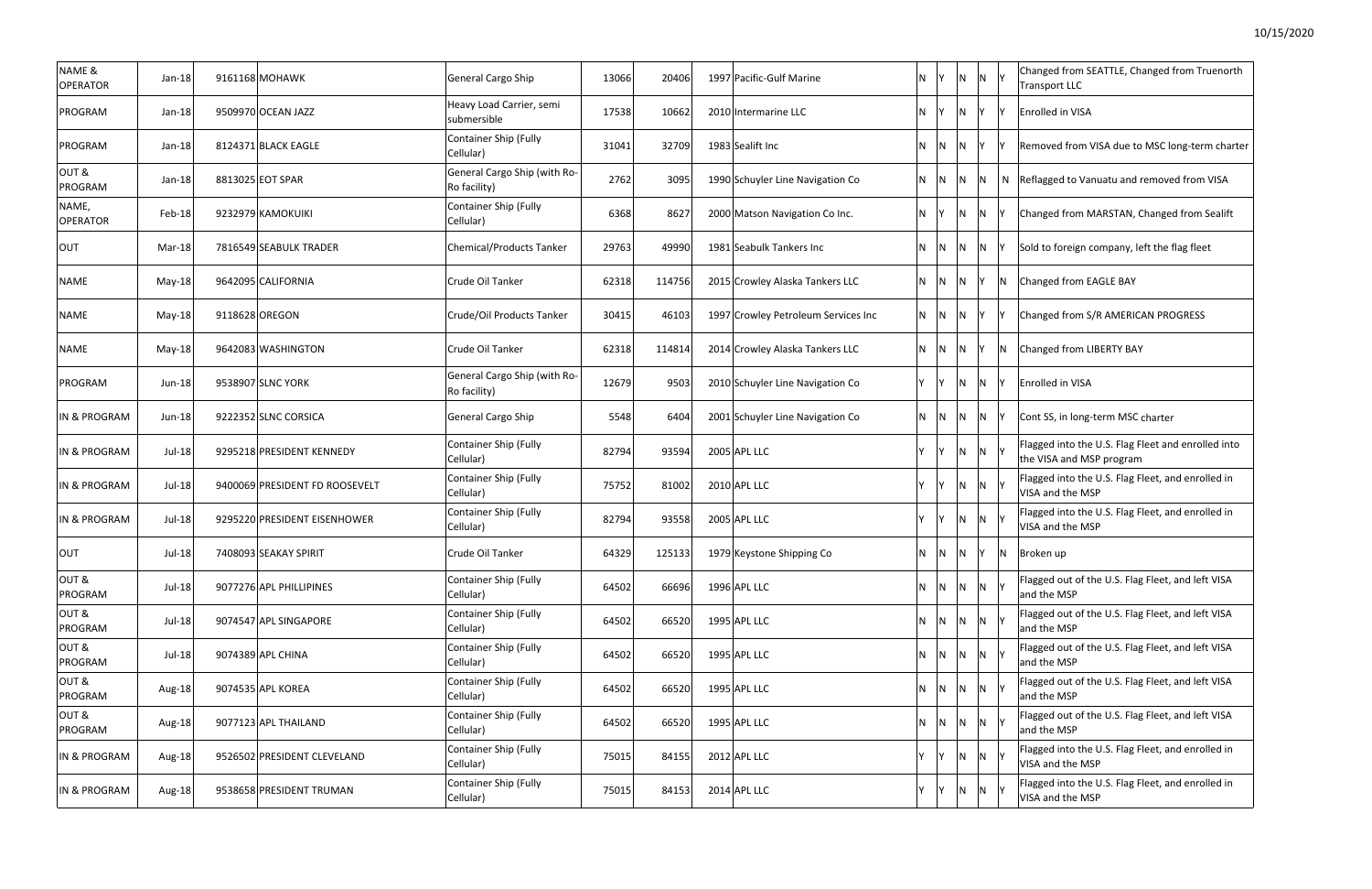| Changed from SEATTLE, Changed from Truenorth<br><b>Transport LLC</b>           |
|--------------------------------------------------------------------------------|
| <b>Enrolled in VISA</b>                                                        |
| Removed from VISA due to MSC long-term charter                                 |
| Reflagged to Vanuatu and removed from VISA                                     |
| Changed from MARSTAN, Changed from Sealift                                     |
| Sold to foreign company, left the flag fleet                                   |
| Changed from EAGLE BAY                                                         |
| Changed from S/R AMERICAN PROGRESS                                             |
| Changed from LIBERTY BAY                                                       |
| <b>Enrolled in VISA</b>                                                        |
| Cont SS, in long-term MSC charter                                              |
| Flagged into the U.S. Flag Fleet and enrolled into<br>the VISA and MSP program |
| Flagged into the U.S. Flag Fleet, and enrolled in<br>VISA and the MSP          |
| Flagged into the U.S. Flag Fleet, and enrolled in<br>VISA and the MSP          |
| Broken up                                                                      |
| Flagged out of the U.S. Flag Fleet, and left VISA<br>and the MSP               |
| Flagged out of the U.S. Flag Fleet, and left VISA<br>and the MSP               |
| Flagged out of the U.S. Flag Fleet, and left VISA<br>and the MSP               |
| Flagged out of the U.S. Flag Fleet, and left VISA<br>and the MSP               |
| Flagged out of the U.S. Flag Fleet, and left VISA<br>and the MSP               |
| Flagged into the U.S. Flag Fleet, and enrolled in<br>VISA and the MSP          |
| Flagged into the U.S. Flag Fleet, and enrolled in<br>VISA and the MSP          |

| NAME &<br>OPERATOR       | $Jan-18$ | 9161168 MOHAWK                 | General Cargo Ship                           | 13066 | 20406  | 1997 Pacific-Gulf Marine            | N        | Y                       | N              | N                       |     | Changed from SEATTLE, Changed from Truenorth<br><b>Transport LLC</b>           |
|--------------------------|----------|--------------------------------|----------------------------------------------|-------|--------|-------------------------------------|----------|-------------------------|----------------|-------------------------|-----|--------------------------------------------------------------------------------|
| PROGRAM                  | Jan-18   | 9509970 OCEAN JAZZ             | Heavy Load Carrier, semi<br>submersible      | 17538 | 10662  | 2010 Intermarine LLC                | N.       | $Y$ N $Y$               |                |                         |     | Enrolled in VISA                                                               |
| PROGRAM                  | Jan-18   | 8124371 BLACK EAGLE            | <b>Container Ship (Fully</b><br>Cellular)    | 31041 | 32709  | 1983 Sealift Inc                    | N.       | $\mathsf{N}$            | N              | IY I                    |     | Removed from VISA due to MSC long-term charter                                 |
| OUT&<br>PROGRAM          | $Jan-18$ | 8813025 EOT SPAR               | General Cargo Ship (with Ro-<br>Ro facility) | 2762  | 3095   | 1990 Schuyler Line Navigation Co    | N.       | $N$ $N$                 |                | $\overline{\mathsf{N}}$ | N   | Reflagged to Vanuatu and removed from VISA                                     |
| NAME,<br><b>OPERATOR</b> | Feb-18   | 9232979 KAMOKUIKI              | <b>Container Ship (Fully</b><br>Cellular)    | 6368  | 8627   | 2000 Matson Navigation Co Inc.      | N.       | Y                       | N              | $\overline{\mathsf{N}}$ |     | Changed from MARSTAN, Changed from Sealift                                     |
| OUT                      | Mar-18   | 7816549 SEABULK TRADER         | <b>Chemical/Products Tanker</b>              | 29763 | 49990  | 1981 Seabulk Tankers Inc            | N.       | $\mathsf{N}$            | $\mathsf{N}$   | $\overline{N}$          |     | Sold to foreign company, left the flag fleet                                   |
| <b>NAME</b>              | $May-18$ | 9642095 CALIFORNIA             | Crude Oil Tanker                             | 62318 | 114756 | 2015 Crowley Alaska Tankers LLC     | N.       | $\overline{N}$          | N              | IY I                    | IN. | Changed from EAGLE BAY                                                         |
| <b>NAME</b>              | May-18   | 9118628 OREGON                 | Crude/Oil Products Tanker                    | 30415 | 46103  | 1997 Crowley Petroleum Services Inc | N.       | $\overline{N}$          | N              | IY.                     |     | Changed from S/R AMERICAN PROGRESS                                             |
| <b>NAME</b>              | May-18   | 9642083 WASHINGTON             | Crude Oil Tanker                             | 62318 | 114814 | 2014 Crowley Alaska Tankers LLC     | N.       | N                       | N              | Y                       | IN. | Changed from LIBERTY BAY                                                       |
| PROGRAM                  | $Jun-18$ | 9538907 SLNC YORK              | General Cargo Ship (with Ro-<br>Ro facility) | 12679 | 9503   | 2010 Schuyler Line Navigation Co    | Y        | IY I                    | $\overline{N}$ | $\overline{N}$          |     | Enrolled in VISA                                                               |
| IN & PROGRAM             | Jun-18   | 9222352 SLNC CORSICA           | General Cargo Ship                           | 5548  | 6404   | 2001 Schuyler Line Navigation Co    | N.       | IN.                     | N              | N                       |     | Cont SS, in long-term MSC charter                                              |
| <b>IN &amp; PROGRAM</b>  | Jul-18   | 9295218 PRESIDENT KENNEDY      | <b>Container Ship (Fully</b><br>Cellular)    | 82794 | 93594  | 2005 APL LLC                        | $\vee$   | Y                       | $\overline{N}$ | $\overline{N}$          |     | Flagged into the U.S. Flag Fleet and enrolled into<br>the VISA and MSP program |
| IN & PROGRAM             | Jul-18   | 9400069 PRESIDENT FD ROOSEVELT | Container Ship (Fully<br>Cellular)           | 75752 | 81002  | 2010 APL LLC                        | <b>Y</b> | Y                       | N              | $\overline{N}$          |     | Flagged into the U.S. Flag Fleet, and enrolled in<br>VISA and the MSP          |
| <b>IN &amp; PROGRAM</b>  | Jul-18   | 9295220 PRESIDENT EISENHOWER   | <b>Container Ship (Fully</b><br>Cellular)    | 82794 | 93558  | 2005 APL LLC                        | <b>Y</b> | IY.                     | $\overline{N}$ | N                       |     | Flagged into the U.S. Flag Fleet, and enrolled in<br>VISA and the MSP          |
| <b>OUT</b>               | Jul-18   | 7408093 SEAKAY SPIRIT          | Crude Oil Tanker                             | 64329 | 125133 | 1979 Keystone Shipping Co           | N        | $\mathsf{N}$            | N              | IY.                     | IN. | Broken up                                                                      |
| OUT&<br>PROGRAM          | Jul-18   | 9077276 APL PHILLIPINES        | <b>Container Ship (Fully</b><br>Cellular)    | 64502 | 66696  | 1996 APL LLC                        | N.       | IN.                     | IN.            | $\overline{N}$          |     | Flagged out of the U.S. Flag Fleet, and left VISA<br>and the MSP               |
| OUT&<br>PROGRAM          | Jul-18   | 9074547 APL SINGAPORE          | <b>Container Ship (Fully</b><br>Cellular)    | 64502 | 66520  | 1995 APL LLC                        | N        | $\overline{\mathsf{N}}$ | $\overline{N}$ | $\overline{\mathsf{N}}$ |     | Flagged out of the U.S. Flag Fleet, and left VISA<br>and the MSP               |
| OUT&<br>PROGRAM          | Jul-18   | 9074389 APL CHINA              | <b>Container Ship (Fully</b><br>Cellular)    | 64502 | 66520  | 1995 APL LLC                        | N        | $\mathsf{N}$            | $\mathsf{N}$   | $\overline{N}$          |     | Flagged out of the U.S. Flag Fleet, and left VISA<br>and the MSP               |
| OUT&<br>PROGRAM          | Aug-18   | 9074535 APL KOREA              | <b>Container Ship (Fully</b><br>Cellular)    | 64502 | 66520  | 1995 APL LLC                        | <b>N</b> | $\mathsf{N}$            | IN.            | $\overline{\mathsf{N}}$ |     | Flagged out of the U.S. Flag Fleet, and left VISA<br>and the MSP               |
| OUT&<br>PROGRAM          | Aug-18   | 9077123 APL THAILAND           | <b>Container Ship (Fully</b><br>Cellular)    | 64502 | 66520  | 1995 APL LLC                        | <b>N</b> | $\mathsf{N}$            | N.             | $\overline{\mathsf{N}}$ |     | Flagged out of the U.S. Flag Fleet, and left VISA<br>and the MSP               |
| IN & PROGRAM             | Aug-18   | 9526502 PRESIDENT CLEVELAND    | Container Ship (Fully<br>Cellular)           | 75015 | 84155  | 2012 APL LLC                        | Y        | IY.                     | IN.            | $\mathsf{N}$            |     | Flagged into the U.S. Flag Fleet, and enrolled in<br>VISA and the MSP          |
| IN & PROGRAM             | Aug-18   | 9538658 PRESIDENT TRUMAN       | <b>Container Ship (Fully</b><br>Cellular)    | 75015 | 84153  | 2014 APL LLC                        |          |                         | IN.            | $\mathsf{N}$            |     | Flagged into the U.S. Flag Fleet, and enrolled in<br>VISA and the MSP          |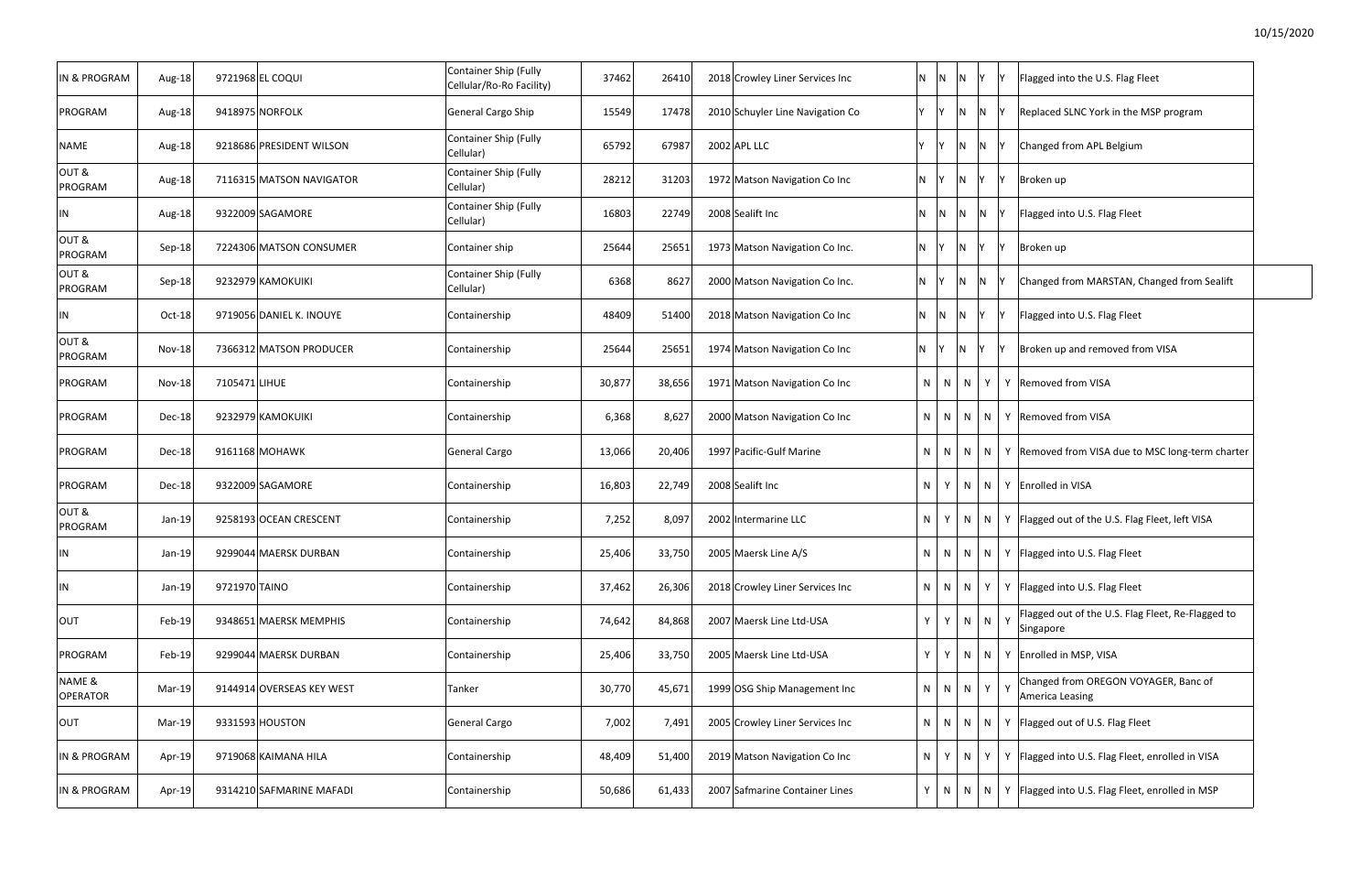| IN & PROGRAM            | Aug-18        | 9721968 EL COQUI          | Container Ship (Fully<br>Cellular/Ro-Ro Facility) | 37462  | 26410  | 2018 Crowley Liner Services Inc      | $N$ $N$   | $\overline{N}$          | <b>Y</b>     | Flagged into the U.S. Flag Fleet<br>١v                              |
|-------------------------|---------------|---------------------------|---------------------------------------------------|--------|--------|--------------------------------------|-----------|-------------------------|--------------|---------------------------------------------------------------------|
| PROGRAM                 | Aug-18        | 9418975 NORFOLK           | General Cargo Ship                                | 15549  | 17478  | 2010 Schuyler Line Navigation Co     | Y Y       | $\overline{N}$          | N            | Replaced SLNC York in the MSP program                               |
| NAME                    | Aug-18        | 9218686 PRESIDENT WILSON  | Container Ship (Fully<br>Cellular)                | 65792  | 67987  | 2002 APL LLC                         | Y         |                         | $N$ N        | Changed from APL Belgium                                            |
| OUT&<br>PROGRAM         | Aug-18        | 7116315 MATSON NAVIGATOR  | Container Ship (Fully<br>Cellular)                | 28212  | 31203  | 1972 Matson Navigation Co Inc        | N Y       | $\overline{N}$          | $\mathsf{Y}$ | IY.<br>Broken up                                                    |
| ΙN                      | Aug-18        | 9322009 SAGAMORE          | Container Ship (Fully<br>Cellular)                | 16803  | 22749  | 2008 Sealift Inc                     |           |                         | N N N N      | Flagged into U.S. Flag Fleet<br>-lY                                 |
| OUT&<br>PROGRAM         | Sep-18        | 7224306 MATSON CONSUMER   | Container ship                                    | 25644  | 25651  | 1973 Matson Navigation Co Inc.       | $N$ $Y$   | $\overline{\mathsf{N}}$ |              | ١v<br>Broken up                                                     |
| OUT&<br>PROGRAM         | Sep-18        | 9232979 KAMOKUIKI         | Container Ship (Fully<br>Cellular)                | 6368   | 8627   | 2000 Matson Navigation Co Inc.       | $N$ $Y$   | IN.                     | IN.          | Changed from MARSTAN, Changed from Sealift                          |
| IN                      | Oct-18        | 9719056 DANIEL K. INOUYE  | Containership                                     | 48409  | 51400  | 2018 Matson Navigation Co Inc        | $N$ $N$   | $\overline{N}$          | IV.          | Flagged into U.S. Flag Fleet<br>İΥ                                  |
| OUT&<br>PROGRAM         | <b>Nov-18</b> | 7366312 MATSON PRODUCER   | Containership                                     | 25644  | 25651  | 1974 Matson Navigation Co Inc        | N Y       | $\mathsf{N}$            | IV.          | Broken up and removed from VISA                                     |
| PROGRAM                 | Nov-18        | 7105471 LIHUE             | Containership                                     | 30,877 | 38,656 | 1971 Matson Navigation Co Inc<br>N   | N         | $\mathsf{N}$            | Y            | Y Removed from VISA                                                 |
| PROGRAM                 | Dec-18        | 9232979 KAMOKUIKI         | Containership                                     | 6,368  | 8,627  | 2000 Matson Navigation Co Inc<br>N   |           | $N$   $N$               |              | N   Y   Removed from VISA                                           |
| PROGRAM                 | Dec-18        | 9161168 MOHAWK            | General Cargo                                     | 13,066 | 20,406 | 1997 Pacific-Gulf Marine<br>N        | N         | N.                      | N            | Y Removed from VISA due to MSC long-term charter                    |
| PROGRAM                 | Dec-18        | 9322009 SAGAMORE          | Containership                                     | 16,803 | 22,749 | 2008 Sealift Inc<br>N.               |           | N                       |              | N   Y Enrolled in VISA                                              |
| OUT&<br>PROGRAM         | Jan-19        | 9258193 OCEAN CRESCENT    | Containership                                     | 7,252  | 8,097  | 2002 Intermarine LLC<br>N.           |           | N                       | N            | Y   Flagged out of the U.S. Flag Fleet, left VISA                   |
| ΙN                      | Jan-19        | 9299044 MAERSK DURBAN     | Containership                                     | 25,406 | 33,750 | 2005 Maersk Line A/S<br>N.           |           |                         |              | $N \mid N \mid N \mid Y$   Flagged into U.S. Flag Fleet             |
| ΙN                      | Jan-19        | 9721970 TAINO             | Containership                                     | 37,462 | 26,306 | 2018 Crowley Liner Services Inc      | $N$   $N$ | N                       | Y            | Y   Flagged into U.S. Flag Fleet                                    |
| OUT                     | Feb-19        | 9348651 MAERSK MEMPHIS    | Containership                                     | 74,642 | 84,868 | 2007 Maersk Line Ltd-USA<br>Y.       | Y         | N                       | N            | Flagged out of the U.S. Flag Fleet, Re-Flagged to<br>Y<br>Singapore |
| PROGRAM                 | Feb-19        | 9299044 MAERSK DURBAN     | Containership                                     | 25,406 | 33,750 | Y.<br>2005 Maersk Line Ltd-USA       | Y         | N                       | N            | Y Enrolled in MSP, VISA                                             |
| NAME &<br>OPERATOR      | Mar-19        | 9144914 OVERSEAS KEY WEST | Tanker                                            | 30,770 | 45,671 | 1999 OSG Ship Management Inc         |           | $N$ $N$ $N$             | Y            | Changed from OREGON VOYAGER, Banc of<br>Y<br>America Leasing        |
| OUT                     | Mar-19        | 9331593 HOUSTON           | General Cargo                                     | 7,002  | 7,491  | 2005 Crowley Liner Services Inc      | $N$ $N$   | $\mathsf{N}$            | N            | Y Flagged out of U.S. Flag Fleet                                    |
| <b>IN &amp; PROGRAM</b> | Apr-19        | 9719068 KAIMANA HILA      | Containership                                     | 48,409 | 51,400 | 2019 Matson Navigation Co Inc<br>N.  | Y         |                         | N<br>Y       | Y Flagged into U.S. Flag Fleet, enrolled in VISA                    |
| IN & PROGRAM            | Apr-19        | 9314210 SAFMARINE MAFADI  | Containership                                     | 50,686 | 61,433 | 2007 Safmarine Container Lines<br>Y. | N         | $\mathsf{N}$            | N            | Y   Flagged into U.S. Flag Fleet, enrolled in MSP                   |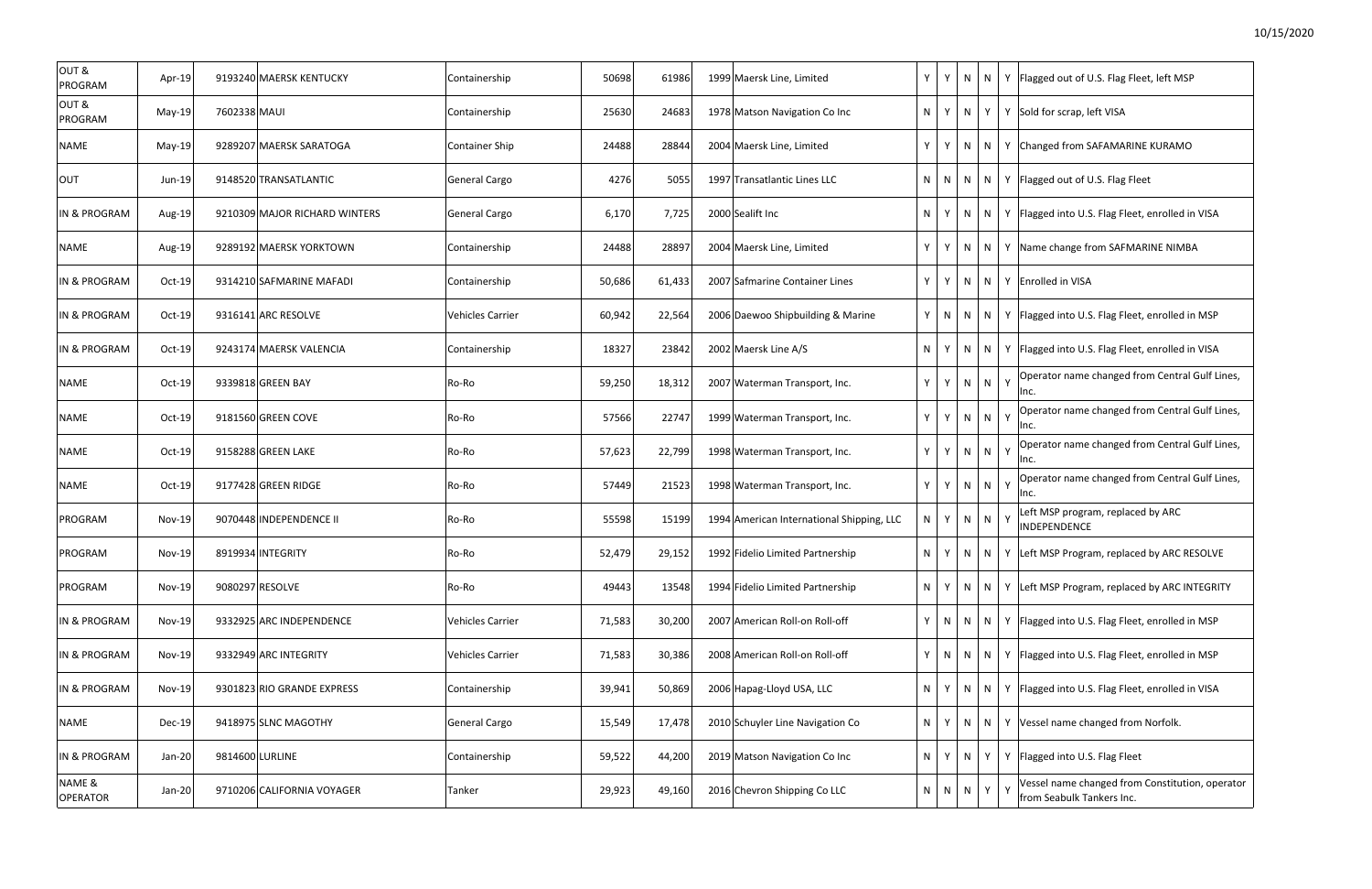| OUT&<br>PROGRAM           | Apr-19        |                 | 9193240 MAERSK KENTUCKY       | Containership           | 50698  | 61986  | 1999 Maersk Line, Limited                 | Y  | Y            | N   |     |          | $N$   Y   Flagged out of U.S. Flag Fleet, left MSP                           |
|---------------------------|---------------|-----------------|-------------------------------|-------------------------|--------|--------|-------------------------------------------|----|--------------|-----|-----|----------|------------------------------------------------------------------------------|
| OUT&<br>PROGRAM           | May-19        | 7602338 MAUI    |                               | Containership           | 25630  | 24683  | 1978 Matson Navigation Co Inc             | N  | Y            |     |     |          | $N$ $Y$ $Y$ Sold for scrap, left VISA                                        |
| NAME                      | $May-19$      |                 | 9289207 MAERSK SARATOGA       | <b>Container Ship</b>   | 24488  | 28844  | 2004 Maersk Line, Limited                 | Y  | Y            | N   |     |          | $N$ $\vert$ Y $\vert$ Changed from SAFAMARINE KURAMO                         |
| <b>OUT</b>                | $Jun-19$      |                 | 9148520 TRANSATLANTIC         | General Cargo           | 4276   | 5055   | 1997 Transatlantic Lines LLC              | N  | N            | N   |     |          | $N$ $\mid$ Y Flagged out of U.S. Flag Fleet                                  |
| IN & PROGRAM              | Aug-19        |                 | 9210309 MAJOR RICHARD WINTERS | General Cargo           | 6,170  | 7,725  | 2000 Sealift Inc                          | N  | Y            | N   |     |          | N   Y   Flagged into U.S. Flag Fleet, enrolled in VISA                       |
| NAME                      | Aug-19        |                 | 9289192 MAERSK YORKTOWN       | Containership           | 24488  | 28897  | 2004 Maersk Line, Limited                 | Y  | Y            | N   | N   |          | Y Name change from SAFMARINE NIMBA                                           |
| IN & PROGRAM              | Oct-19        |                 | 9314210 SAFMARINE MAFADI      | Containership           | 50,686 | 61,433 | 2007 Safmarine Container Lines            | Y  | Y            | N   |     |          | N   Y Enrolled in VISA                                                       |
| <b>IN &amp; PROGRAM</b>   | $Oct-19$      |                 | 9316141 ARC RESOLVE           | Vehicles Carrier        | 60,942 | 22,564 | 2006 Daewoo Shipbuilding & Marine         | Y  | N            | N   | N   |          | Y   Flagged into U.S. Flag Fleet, enrolled in MSP                            |
| IN & PROGRAM              | $Oct-19$      |                 | 9243174 MAERSK VALENCIA       | Containership           | 18327  | 23842  | 2002 Maersk Line A/S                      | N. | Y            | N.  | N I |          | Y   Flagged into U.S. Flag Fleet, enrolled in VISA                           |
| NAME                      | $Oct-19$      |                 | 9339818 GREEN BAY             | Ro-Ro                   | 59,250 | 18,312 | 2007 Waterman Transport, Inc.             | Y. | $\mathsf{Y}$ | N   | N   | Y        | Operator name changed from Central Gulf Lines,<br>Inc.                       |
| NAME                      | $Oct-19$      |                 | 9181560 GREEN COVE            | Ro-Ro                   | 57566  | 22747  | 1999 Waterman Transport, Inc.             | Y  | $\mathsf{Y}$ | N   | N   | Y        | Operator name changed from Central Gulf Lines,<br>Inc.                       |
| <b>NAME</b>               | Oct-19        |                 | 9158288 GREEN LAKE            | Ro-Ro                   | 57,623 | 22,799 | 1998 Waterman Transport, Inc.             | Y  | Y            | N   | N   | Y        | Operator name changed from Central Gulf Lines,<br>Inc.                       |
| <b>NAME</b>               | Oct-19        |                 | 9177428 GREEN RIDGE           | Ro-Ro                   | 57449  | 21523  | 1998 Waterman Transport, Inc.             | Y  | $\mathsf{Y}$ | N   | N   |          | Operator name changed from Central Gulf Lines,<br>Inc.                       |
| PROGRAM                   | <b>Nov-19</b> |                 | 9070448 INDEPENDENCE II       | Ro-Ro                   | 55598  | 15199  | 1994 American International Shipping, LLC | N  | Y            | N   | N   | Y        | Left MSP program, replaced by ARC<br><b>INDEPENDENCE</b>                     |
| PROGRAM                   | $Nov-19$      |                 | 8919934 INTEGRITY             | Ro-Ro                   | 52,479 | 29,152 | 1992 Fidelio Limited Partnership          | N. | Y            | N I | N   |          | Y Left MSP Program, replaced by ARC RESOLVE                                  |
| PROGRAM                   | <b>Nov-19</b> |                 | 9080297 RESOLVE               | Ro-Ro                   | 49443  | 13548  | 1994 Fidelio Limited Partnership          | N. | Y            | N   | N   |          | Y Left MSP Program, replaced by ARC INTEGRITY                                |
| <b>IN &amp; PROGRAM</b>   | $Nov-19$      |                 | 9332925 ARC INDEPENDENCE      | <b>Vehicles Carrier</b> | 71,583 | 30,200 | 2007 American Roll-on Roll-off            | Y  | N            | N   | N   |          | Y   Flagged into U.S. Flag Fleet, enrolled in MSP                            |
| <b>IN &amp; PROGRAM</b>   | <b>Nov-19</b> |                 | 9332949 ARC INTEGRITY         | Vehicles Carrier        | 71,583 | 30,386 | 2008 American Roll-on Roll-off            | Y  | N            | N   | N   |          | Y Flagged into U.S. Flag Fleet, enrolled in MSP                              |
| IN & PROGRAM              | <b>Nov-19</b> |                 | 9301823 RIO GRANDE EXPRESS    | Containership           | 39,941 | 50,869 | 2006 Hapag-Lloyd USA, LLC                 | N. | Y            | N.  | N   |          | Y   Flagged into U.S. Flag Fleet, enrolled in VISA                           |
| NAME                      | Dec-19        |                 | 9418975 SLNC MAGOTHY          | General Cargo           | 15,549 | 17,478 | 2010 Schuyler Line Navigation Co          | N. | Y            | N   | N   |          | Y Vessel name changed from Norfolk.                                          |
| <b>IN &amp; PROGRAM</b>   | Jan-20        | 9814600 LURLINE |                               | Containership           | 59,522 | 44,200 | 2019 Matson Navigation Co Inc             | N. | Y            | N.  | Y   |          | Y   Flagged into U.S. Flag Fleet                                             |
| NAME &<br><b>OPERATOR</b> | Jan-20        |                 | 9710206 CALIFORNIA VOYAGER    | Tanker                  | 29,923 | 49,160 | 2016 Chevron Shipping Co LLC              | N. | N            | N   | Y   | <b>V</b> | Vessel name changed from Constitution, operator<br>from Seabulk Tankers Inc. |